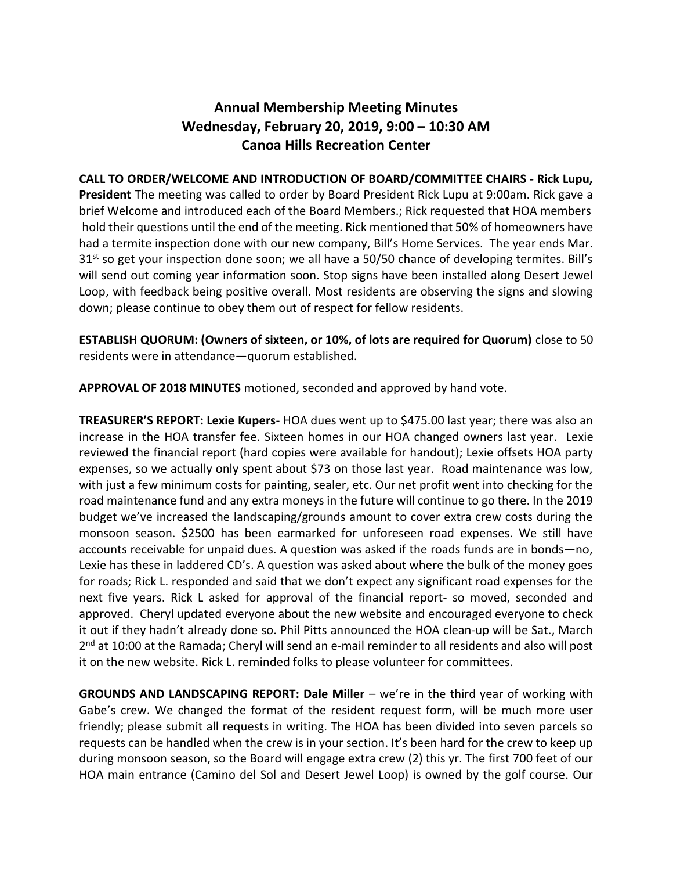## Annual Membership Meeting Minutes Wednesday, February 20, 2019, 9:00 – 10:30 AM Canoa Hills Recreation Center

CALL TO ORDER/WELCOME AND INTRODUCTION OF BOARD/COMMITTEE CHAIRS - Rick Lupu, President The meeting was called to order by Board President Rick Lupu at 9:00am. Rick gave a brief Welcome and introduced each of the Board Members.; Rick requested that HOA members hold their questions until the end of the meeting. Rick mentioned that 50% of homeowners have had a termite inspection done with our new company, Bill's Home Services. The year ends Mar. 31<sup>st</sup> so get your inspection done soon; we all have a 50/50 chance of developing termites. Bill's will send out coming year information soon. Stop signs have been installed along Desert Jewel Loop, with feedback being positive overall. Most residents are observing the signs and slowing down; please continue to obey them out of respect for fellow residents.

ESTABLISH QUORUM: (Owners of sixteen, or 10%, of lots are required for Quorum) close to 50 residents were in attendance—quorum established.

APPROVAL OF 2018 MINUTES motioned, seconded and approved by hand vote.

TREASURER'S REPORT: Lexie Kupers- HOA dues went up to \$475.00 last year; there was also an increase in the HOA transfer fee. Sixteen homes in our HOA changed owners last year. Lexie reviewed the financial report (hard copies were available for handout); Lexie offsets HOA party expenses, so we actually only spent about \$73 on those last year. Road maintenance was low, with just a few minimum costs for painting, sealer, etc. Our net profit went into checking for the road maintenance fund and any extra moneys in the future will continue to go there. In the 2019 budget we've increased the landscaping/grounds amount to cover extra crew costs during the monsoon season. \$2500 has been earmarked for unforeseen road expenses. We still have accounts receivable for unpaid dues. A question was asked if the roads funds are in bonds—no, Lexie has these in laddered CD's. A question was asked about where the bulk of the money goes for roads; Rick L. responded and said that we don't expect any significant road expenses for the next five years. Rick L asked for approval of the financial report- so moved, seconded and approved. Cheryl updated everyone about the new website and encouraged everyone to check it out if they hadn't already done so. Phil Pitts announced the HOA clean-up will be Sat., March 2<sup>nd</sup> at 10:00 at the Ramada; Cheryl will send an e-mail reminder to all residents and also will post it on the new website. Rick L. reminded folks to please volunteer for committees.

GROUNDS AND LANDSCAPING REPORT: Dale Miller – we're in the third year of working with Gabe's crew. We changed the format of the resident request form, will be much more user friendly; please submit all requests in writing. The HOA has been divided into seven parcels so requests can be handled when the crew is in your section. It's been hard for the crew to keep up during monsoon season, so the Board will engage extra crew (2) this yr. The first 700 feet of our HOA main entrance (Camino del Sol and Desert Jewel Loop) is owned by the golf course. Our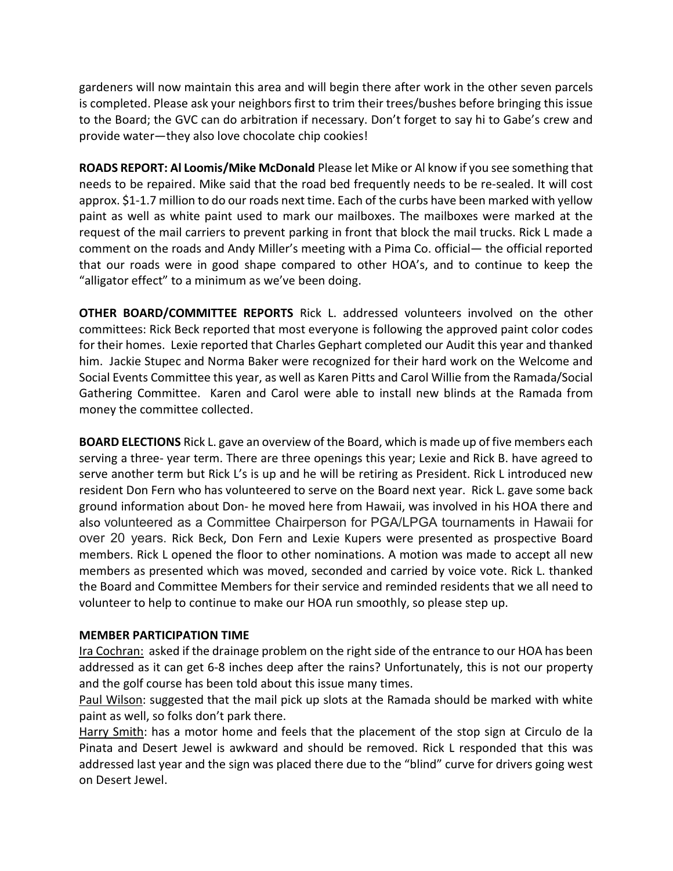gardeners will now maintain this area and will begin there after work in the other seven parcels is completed. Please ask your neighbors first to trim their trees/bushes before bringing this issue to the Board; the GVC can do arbitration if necessary. Don't forget to say hi to Gabe's crew and provide water—they also love chocolate chip cookies!

ROADS REPORT: Al Loomis/Mike McDonald Please let Mike or Al know if you see something that needs to be repaired. Mike said that the road bed frequently needs to be re-sealed. It will cost approx. \$1-1.7 million to do our roads next time. Each of the curbs have been marked with yellow paint as well as white paint used to mark our mailboxes. The mailboxes were marked at the request of the mail carriers to prevent parking in front that block the mail trucks. Rick L made a comment on the roads and Andy Miller's meeting with a Pima Co. official— the official reported that our roads were in good shape compared to other HOA's, and to continue to keep the "alligator effect" to a minimum as we've been doing.

OTHER BOARD/COMMITTEE REPORTS Rick L. addressed volunteers involved on the other committees: Rick Beck reported that most everyone is following the approved paint color codes for their homes. Lexie reported that Charles Gephart completed our Audit this year and thanked him. Jackie Stupec and Norma Baker were recognized for their hard work on the Welcome and Social Events Committee this year, as well as Karen Pitts and Carol Willie from the Ramada/Social Gathering Committee. Karen and Carol were able to install new blinds at the Ramada from money the committee collected.

BOARD ELECTIONS Rick L. gave an overview of the Board, which is made up of five members each serving a three- year term. There are three openings this year; Lexie and Rick B. have agreed to serve another term but Rick L's is up and he will be retiring as President. Rick L introduced new resident Don Fern who has volunteered to serve on the Board next year. Rick L. gave some back ground information about Don- he moved here from Hawaii, was involved in his HOA there and also volunteered as a Committee Chairperson for PGA/LPGA tournaments in Hawaii for over 20 years. Rick Beck, Don Fern and Lexie Kupers were presented as prospective Board members. Rick L opened the floor to other nominations. A motion was made to accept all new members as presented which was moved, seconded and carried by voice vote. Rick L. thanked the Board and Committee Members for their service and reminded residents that we all need to volunteer to help to continue to make our HOA run smoothly, so please step up.

## MEMBER PARTICIPATION TIME

Ira Cochran: asked if the drainage problem on the right side of the entrance to our HOA has been addressed as it can get 6-8 inches deep after the rains? Unfortunately, this is not our property and the golf course has been told about this issue many times.

Paul Wilson: suggested that the mail pick up slots at the Ramada should be marked with white paint as well, so folks don't park there.

Harry Smith: has a motor home and feels that the placement of the stop sign at Circulo de la Pinata and Desert Jewel is awkward and should be removed. Rick L responded that this was addressed last year and the sign was placed there due to the "blind" curve for drivers going west on Desert Jewel.